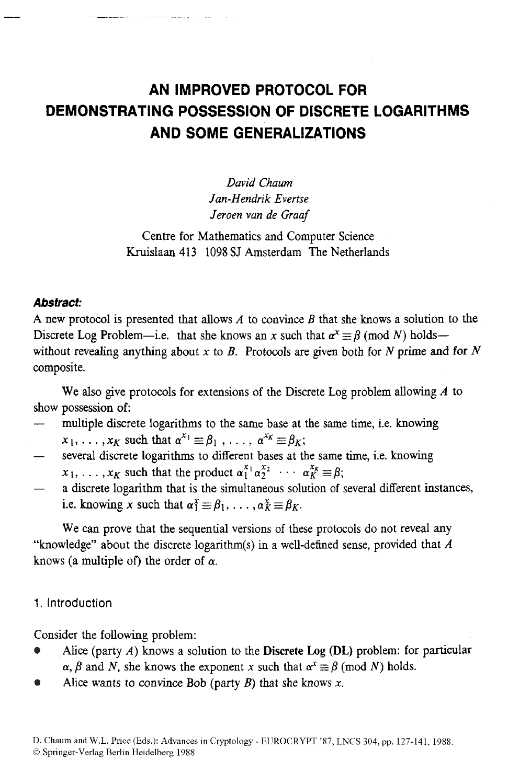# **AN IMPROVED PROTOCOL FOR DEMONSTRATING POSSESSION OF DISCRETE LOGARITHMS AND SOME GENERALIZATIONS**

*David Chaum Jan-Hendrik Evertse Jeroen van de Graaf* 

Centre for Mathematics and Computer Science Kruislaan 413 1098 SJ Amsterdam The Netherlands

# *Abstract:*

**A** new protocol is presented that allows *A* to **convince** *B* that she knows a solution to the Discrete Log Problem-i.e. that she knows an x such that  $\alpha^x \equiv \beta$  (mod *N*) holdswithout revealing anything about  $x$  to  $B$ . Protocols are given both for  $N$  prime and for  $N$ composite.

show possession of: We also give protocols for extensions of the Discrete Log problem allowing *A* to

- multiple discrete logarithms to the same base at the same time, i.e. knowing
- $x_1, \ldots, x_K$  such that  $\alpha^{x_1} \equiv \beta_1, \ldots, \alpha^{x_K} \equiv \beta_K;$
- several discrete logarithms to different bases at the same time, i.e. knowing  $x_1, \ldots, x_k$  such that the product  $\alpha_1^{x_1} \alpha_2^{x_2} \cdots \alpha_k^{x_k} \equiv \beta;$ -<br>-
- a discrete logarithm that is the simultaneous solution of several different instances, i.e. knowing *x* such that  $\alpha_1^x \equiv \beta_1, \ldots, \alpha_K^x \equiv \beta_K$ . -

We can prove that the sequential versions of these protocols do not reveal any "knowledge" about the discrete logarithm(s) in a well-defined sense, provided that *A*  knows (a multiple of) the order of *a.* 

# **1.** Introduction

Consider the following problem:

- Alice (party *A)* knows a solution to the Discrete **Log @L)** problem: for particular  $\alpha$ ,  $\beta$  and *N*, she knows the exponent *x* such that  $\alpha^x \equiv \beta \pmod{N}$  holds.
- Alice wants to convince Bob (party  $B$ ) that she knows  $x$ .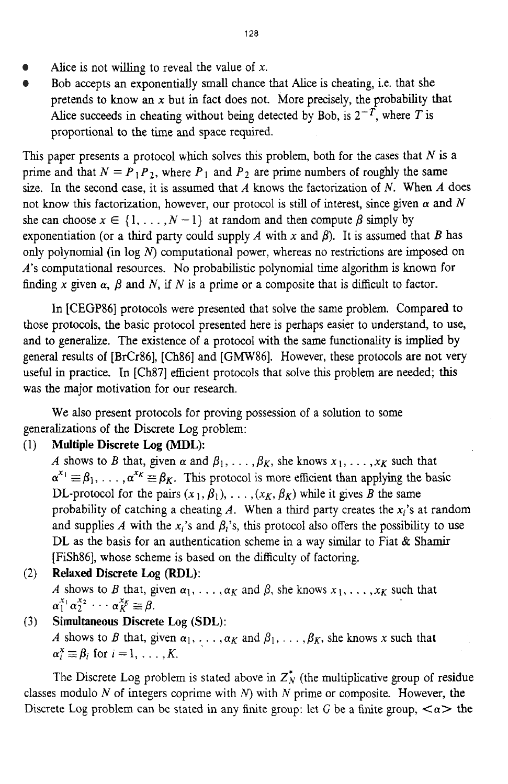- Alice is not willing to reveal the value of **x.**
- Bob accepts an exponentially small chance that *Alice* is cheating, i.e. that she  $\bullet$ pretends to know an **x** but in fact does not. More precisely, the probability that Alice succeeds in cheating without being detected by Bob, is  $2^{-T}$ , where *T* is proportional to the time and space required.

This paper presents a protocol which solves this problem, both for the cases that *N* is a prime and that  $N = P_1 P_2$ , where  $P_1$  and  $P_2$  are prime numbers of roughly the same size. In the second case, it is assumed that *A* knows the factorization of *N.* When *A* does not know this factorization, however, our protocol is still of interest, since given  $\alpha$  and  $N$ she can choose  $x \in \{1, ..., N-1\}$  at random and then compute  $\beta$  simply by exponentiation (or a third party could supply *A* with *x* and  $\beta$ ). It is assumed that *B* has only polynomial (in log *N*) computational power, whereas no restrictions are imposed on *A's* computational resources. No probabilistic polynomial time algorithm is known for finding x given  $\alpha$ ,  $\beta$  and N, if N is a prime or a composite that is difficult to factor.

In [CEGP86] protocols were presented that solve the same problem. Compared to those protocols, the basic protocol presented here is perhaps easier to understand, to use, and to generalize. The existence of a protocol with the same functionality is implied by general results of [BrCr86], [Ch86] and [GMW86]. However, these protocols are not very useful in practice. In [Ch87] efficient protocols that solve this problem are needed; **this**  was the major motivation for our research.

We also present protocols for proving possession of a solution to some generalizations of the Discrete Log problem:

# (1) **Multiple** Discrete Log **(MDL):**

*A* shows to *B* that, given  $\alpha$  and  $\beta_1, \ldots, \beta_K$ , she knows  $x_1, \ldots, x_K$  such that  $\alpha^{x_1} \equiv \beta_1, \ldots, \alpha^{x_K} \equiv \beta_K$ . This protocol is more efficient than applying the basic DL-protocol for the pairs  $(x_1, \beta_1), \ldots, (x_K, \beta_K)$  while it gives *B* the same probability of catching a cheating  $A$ . When a third party creates the  $x_i$ 's at random and supplies *A* with the  $x_i$ 's and  $\beta_i$ 's, this protocol also offers the possibility to use DL as the basis for an authentication scheme in a way similar to Fiat  $\&$  Shamir [FiSh86], whose scheme is based on the difficulty of factoring.

(2) **Relaxed** Discrete **Log (RDL):** 

*A* shows to *B* that, given  $\alpha_1, \ldots, \alpha_K$  and  $\beta$ , she knows  $x_1, \ldots, x_K$  such that  $\alpha_1^{x_1} \alpha_2^{x_2} \cdots \alpha_K^{x_K} \equiv \beta.$ 

**(3)** Simultaneous Discrete **Log (SDL):** 

*A* shows to *B* that, given  $\alpha_1, \ldots, \alpha_K$  and  $\beta_1, \ldots, \beta_K$ , she knows *x* such that  $\alpha_i^x \equiv \beta_i$  for  $i = 1, \ldots, K$ .

The Discrete Log problem is stated above in  $Z_N^*$  (the multiplicative group of residue classes modulo *N* of integers coprime with *N)* with *N* prime or composite. However, the Discrete Log problem can be stated in any finite group: let G be a finite group,  $\langle \alpha \rangle$  the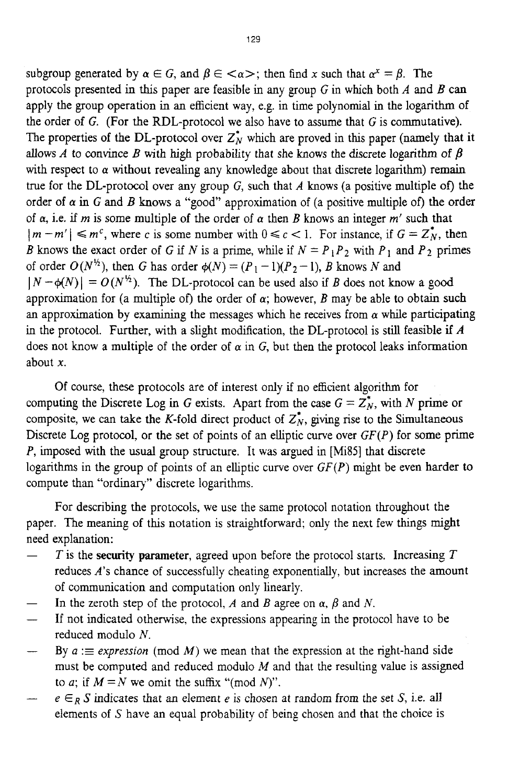subgroup generated by  $\alpha \in G$ , and  $\beta \in \langle \alpha \rangle$ ; then find x such that  $\alpha^x = \beta$ . The protocols presented in this paper are feasible in any group G in which both *A* and *B* can apply the group operation in an efficient way, e.g. in time polynomial in the logarithm of the order of  $G$ . (For the RDL-protocol we also have to assume that  $G$  is commutative). The properties of the DL-protocol over  $Z_N^*$  which are proved in this paper (namely that it allows *A* to convince *B* with high probability that she knows the discrete logarithm of  $\beta$ with respect to  $\alpha$  without revealing any knowledge about that discrete logarithm) remain true for the DL-protocol over any group *G,* such that *A* knows (a positive multiple *of)* the order of  $\alpha$  in G and B knows a "good" approximation of (a positive multiple of) the order of  $\alpha$ , i.e. if *m* is some multiple of the order of  $\alpha$  then *B* knows an integer *m'* such that  $|m - m'| \le m^c$ , where c is some number with  $0 \le c < 1$ . For instance, if  $G = Z_N^*$ , then *B* knows the exact order of G if N is a prime, while if  $N = P_1 P_2$  with  $P_1$  and  $P_2$  primes of order  $O(N^{\frac{1}{2}})$ , then G has order  $\phi(N) = (P_1 - 1)(P_2 - 1)$ , *B* knows *N* and  $|N - \phi(N)| = O(N^{\frac{1}{2}})$ . The DL-protocol can be used also if *B* does not know a good approximation for (a multiple of) the order of  $\alpha$ ; however, *B* may be able to obtain such an approximation by examining the messages which he receives from  $\alpha$  while participating in the protocol. Further, with a slight modification, the DL-protocol is still feasible if *A*  does not know a multiple of the order of  $\alpha$  in G, but then the protocol leaks information about *x.* 

Of course, these protocols are of interest only if no efficient algorithm for computing the Discrete Log in *G* exists. Apart from the case  $G = Z_N^*$ , with *N* prime or composite, we can take the K-fold direct product of  $Z_N^*$ , giving rise to the Simultaneous Discrete Log protocol, or the set of points of an elliptic curve over *GF(P)* for some prime *P*, imposed with the usual group structure. It was argued in [Mi85] that discrete logarithms in the group of points of an elliptic curve over *GF(P)* might be even harder **to**  compute than "ordinary" discrete logarithms.

paper. The meaning of this notation is straightforward: only the next few things might need explanation: For describing the protocols, we use the same protocol notation throughout the

- *T* is the **security parameter,** agreed upon before the protocol starts. Increasing *T*  reduces *A's* chance of successfully cheating exponentially, but increases the amount of communication and computation only linearly.
- In the zeroth step of the protocol,  $A$  and  $B$  agree on  $\alpha$ ,  $\beta$  and  $N$ .
- If not indicated otherwise, the expressions appearing in the protocol have to be reduced modulo *N.*
- By  $a :=$  *expression* (mod *M*) we mean that the expression at the right-hand side must be computed and reduced modulo *M* and that the resulting value is assigned to *a*; if  $M = N$  we omit the suffix "(mod *N*)".
- $e \in_R S$  indicates that an element *e* is chosen at random from the set *S*, i.e. all elements of *S* have an equal probability of being chosen and that the choice **is**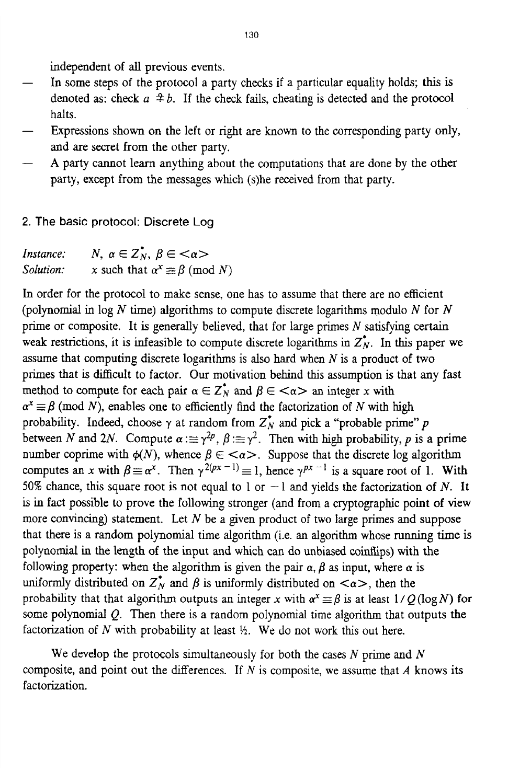independent of all previous events.

- In some steps of the protocol a party checks if a particular equality holds; this is denoted as: check  $a \neq b$ . If the check fails, cheating is detected and the protocol halts. - -
- Expressions shown on the left or right are known to the corresponding party only, and are secret from the other party. -
- **A** party cannot learn anything about the computations that are done by the other party, except from the messages which (s)he received from that party.
- **2. The basic protocol: Discrete** Log

| Instance: | N, $\alpha \in Z_N^*$ , $\beta \in \langle \alpha \rangle$ |
|-----------|------------------------------------------------------------|
| Solution: | x such that $\alpha^x \equiv \beta \pmod{N}$               |

**In** order for the protocol to make sense, one has to assume that there are no efficient (polynomial in log *N* time) algorithms to compute discrete logarithms modulo *N* for *N*  prime or composite. It is generally believed, that for large primes *N* satisfying certain weak restrictions, it is infeasible to compute discrete logarithms in  $Z_N^*$ . In this paper we assume that computing discrete logarithms is also hard when *N* is a product of two primes that is difficult to factor. Our motivation behind this assumption is that any fast method to compute for each pair  $\alpha \in \mathbb{Z}_N^*$  and  $\beta \in \langle \alpha \rangle$  an integer x with  $\alpha^x \equiv \beta$  (mod *N*), enables one to efficiently find the factorization of *N* with high probability. Indeed, choose  $\gamma$  at random from  $Z_N$  and pick a "probable prime"  $p$ between N and 2N. Compute  $\alpha := \gamma^{2p}$ ,  $\beta := \gamma^2$ . Then with high probability, p is a prime number coprime with  $\phi(N)$ , whence  $\beta \in \langle \alpha \rangle$ . Suppose that the discrete log algorithm computes an *x* with  $\beta \equiv \alpha^x$ . Then  $\gamma^{2(px-1)} \equiv 1$ , hence  $\gamma^{px-1}$  is a square root of 1. With 50% chance, this square root is not equal to 1 or  $-1$  and yields the factorization of *N*. It is in fact possible to prove the following stronger (and from a cryptographic point of view more convincing) statement. Let *N* be a given product of two large primes and suppose that there is a random polynomial time algorithm (i.e. an algorithm whose running time is polynomial in the length of the input and which can do unbiased coinflips) with the following property: when the algorithm is given the pair  $\alpha$ ,  $\beta$  as input, where  $\alpha$  is uniformly distributed on  $Z_N^*$  and  $\beta$  is uniformly distributed on  $\langle \alpha \rangle$ , then the probability that that algorithm outputs an integer x with  $\alpha^x \equiv \beta$  is at least  $1/Q(\log N)$  for some polynomial  $Q$ . Then there is a random polynomial time algorithm that outputs the factorization of  $N$  with probability at least  $\frac{1}{2}$ . We do not work this out here.

composite, and point out the differences. If  $N$  is composite, we assume that  $A$  knows its factorization. We develop the protocols simultaneously for both the cases *N* prime and *N*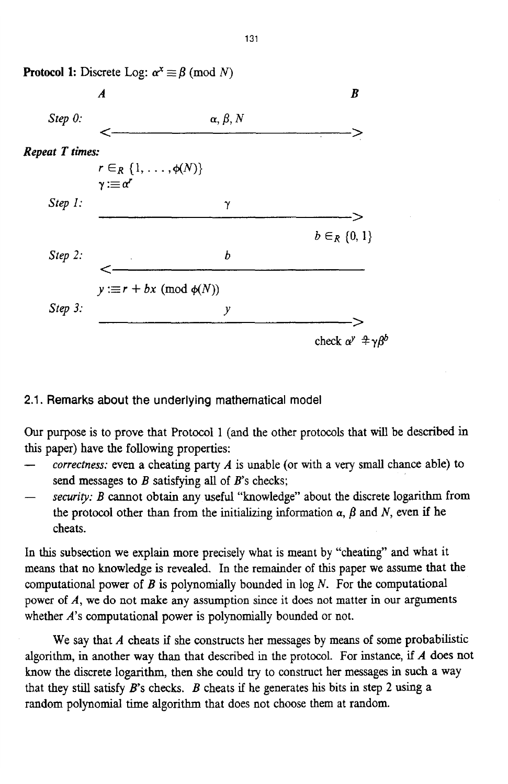

# **2.1. Remarks about the underlying mathematical model**

Our purpose is to prove that Protocol 1 (and the other protocols that will be described in this paper) have the following properties:

- *correctness:* even a cheating party *A* is unable (or with a very small chance able) to send messages to *B* satisfymg all of *B's* checks; -
- *securivy: B* cannot obtain any useful "knowledge" about the discrete logarithm from the protocol other than from the initializing information  $\alpha$ ,  $\beta$  and  $N$ , even if he cheats.

In this subsection we explain more precisely what is meant by "cheating" and what it means that no knowledge is revealed. **In** the remainder of this paper we assume that the computational power of *B* is polynomially bounded in log *N.* For the computational power **of** *A,* we do not make any assumption since it does not matter in our arpments whether *A*'s computational power is polynomially bounded or not.

algorithm, in another way than that described in the protocol. For instance, if *A* **does** not know the discrete logarithm, then she could **try** to construct **her** messages in **such** a way that they still satisfy  $B$ 's checks.  $B$  cheats if he generates his bits in step 2 using a random polynomial time algorithm that does not choose them at random. We say that *A* cheats if she constructs her messages by means of some probabilistic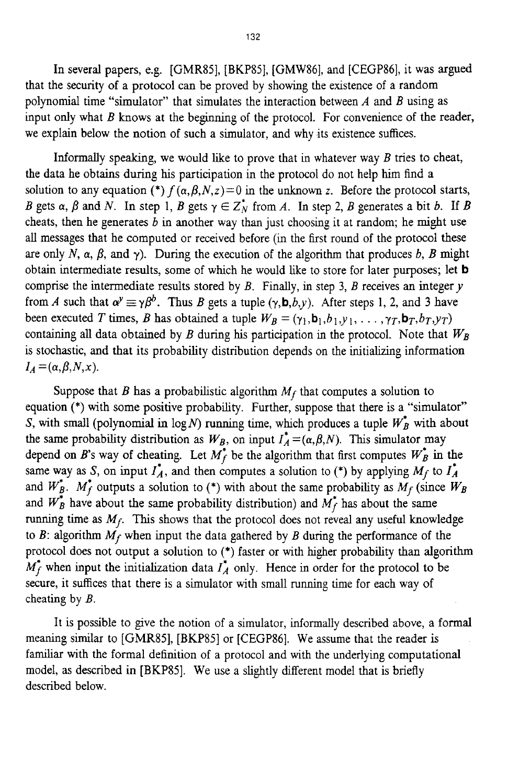In several papers, e.g. [GMR85], [BKP85], [GMW86], and [CEGP86], it was argued that the security of a protocol can be proved by showing the existence of a random polynomial time "simulator" that simulates the interaction between *A* and *B* using as input only what *B* knows at the beginning of the protocol. For convenience of the reader, we explain below the notion of such a simulator, and why its existence suffices.

the data he obtains during his participation in the protocol do not help him find a solution to any equation (\*)  $f(\alpha, \beta, N, z) = 0$  in the unknown z. Before the protocol starts, *B* gets  $\alpha$ ,  $\beta$  and *N*. In step 1, *B* gets  $\gamma \in Z_N^*$  from *A*. In step 2, *B* generates a bit *b*. If *B* cheats, then he generates *b* in another way than just choosing it at random; he might use all messages that he computed or received before (in the first round of the protocol these are only *N*,  $\alpha$ ,  $\beta$ , and  $\gamma$ ). During the execution of the algorithm that produces *b*, *B* might obtain intermediate results, some of whch he would like to store for later purposes; let **b**  comprise the intermediate results stored by  $B$ . Finally, in step 3,  $B$  receives an integer  $y$ from *A* such that  $\alpha^y \equiv \gamma \beta^b$ . Thus *B* gets a tuple  $(\gamma, \mathbf{b}, b, \gamma)$ . After steps 1, 2, and 3 have been executed *T* times, *B* has obtained a tuple  $W_B = (\gamma_1, \mathbf{b}_1, b_1, \gamma_1, \dots, \gamma_T, \mathbf{b}_T, b_T, \gamma_T)$ containing all data obtained by  $B$  during his participation in the protocol. Note that  $W_B$ is stochastic, and that its probability distribution depends on the initializing information Informally speaking, we would like to prove that in whatever way *B* tries to cheat,  $I_A = (\alpha, \beta, N, x).$ 

Suppose that *B* has a probabilistic algorithm  $M_f$  that computes a solution to equation (\*) with some positive probability. Further, suppose that there is a "simulator" *S*, with small (polynomial in  $log N$ ) running time, which produces a tuple  $W_B^*$  with about the same probability distribution as  $W_B$ , on input  $I_A^* = (\alpha, \beta, N)$ . This simulator may depend on *B*'s way of cheating. Let  $M_f^*$  be the algorithm that first computes  $W_B^*$  in the same way as *S*, on input  $I_A^*$ , and then computes a solution to (\*) by applying  $M_f$  to  $I_A^*$ and  $W_B^*$ .  $M_f^*$  outputs a solution to (\*) with about the same probability as  $M_f$  (since  $W_B$ and  $W_B^*$  have about the same probability distribution) and  $M_f^*$  has about the same running time as  $M_f$ . This shows that the protocol does not reveal any useful knowledge to  $B$ : algorithm  $M_f$  when input the data gathered by  $B$  during the performance of the protocol does not output a solution to (\*) faster or with higher probability than algorithm  $M_f^*$  when input the initialization data  $I_A^*$  only. Hence in order for the protocol to be secure, it suffices that there is a simulator with small running time for each way of cheating by *B.* 

It is possible to give the notion of a simulator, informally described above, a formal meaning similar to [GMRSS], [BKP85] or [CEGP86]. We assume that the reader is famihar with the formal definition of a protocol and with the underlying computational model, as described in [BKPSS]. We use a slightly different model that is briefly described below.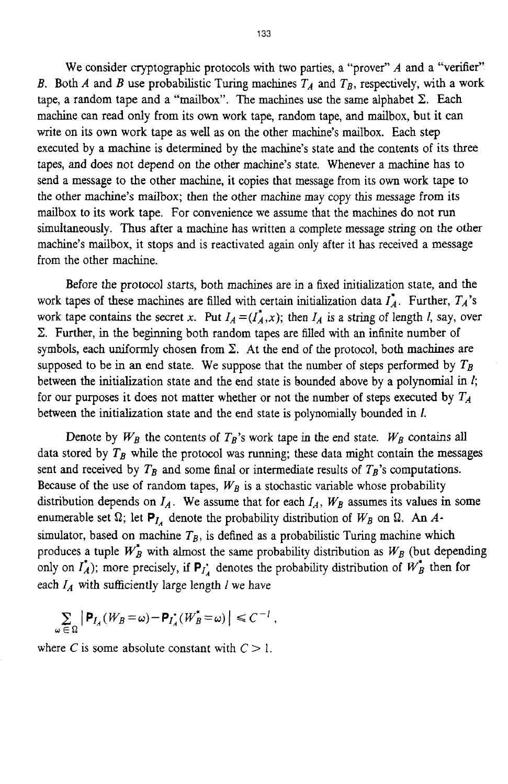We consider cryptographic protocols with two parties, a "prover" *A* and a "verifier" *B.* Both *A* and *B* use probabilistic Turing machines  $T_A$  and  $T_B$ , respectively, with a work tape, a random tape and a "mailbox". The machines use the same alphabet  $\Sigma$ . Each machine can read only from its own work tape, random tape, and mailbox, but it can write on its own work tape as well as on the other machine's mailbox. Each step executed by a machine is determined by the machine's state and the contents of its three tapes, and does not depend on the other machine's state. Whenever a machine has to send a message to the other machine, it copies that message from its own work tape to the other machine's mailbox; then the other machine may copy *this* message from its mailbox to its work tape. For convenience we assume that the machines do not run simultaneously. Thus after a machine has written a complete message string **on** the other machine's mailbox, it stops and is reactivated again only after it has received a message from the other machine.

Before the protocol starts, both machines are in a fixed initialization state, and the work tapes of these machines are filled with certain initialization data  $I_A^*$ . Further,  $T_A^*$ 's work tape contains the secret *x*. Put  $I_A = (I_A^*, x)$ ; then  $I_A$  is a string of length *l*, say, over  $\Sigma$ . Further, in the beginning both random tapes are filled with an infinite number of symbols, each uniformly chosen from  $\Sigma$ . At the end of the protocol, both machines are supposed to be in an end state. We suppose that the number of steps performed by  $T_B$ between the initialization state and the end state is bounded above by a polynomial in *I;*  for our purposes **it** does not matter whether or not the number of steps executed by *TA*  between the initialization state and the end state is polynomially bounded in *1.* 

Denote by  $W_B$  the contents of  $T_B$ 's work tape in the end state.  $W_B$  contains all data stored by  $T_B$  while the protocol was running; these data might contain the messages sent and received by  $T_B$  and some final or intermediate results of  $T_B$ 's computations. Because of the use of random tapes,  $W_B$  is a stochastic variable whose probability distribution depends on  $I_A$ . We assume that for each  $I_A$ ,  $W_B$  assumes its values in some enumerable set  $\Omega$ ; let  $P_{I_A}$  denote the probability distribution of  $W_B$  on  $\Omega$ . An *A*simulator, based on machine  $T_B$ , is defined as a probabilistic Turing machine which produces a tuple  $W_B^*$  with almost the same probability distribution as  $W_B$  (but depending only on  $I_A^*$ ); more precisely, if  $P_{I_A^*}$  denotes the probability distribution of  $W_B^*$  then for each  $I_A$  with sufficiently large length  $I$  we have

$$
\sum_{\omega \in \Omega} \left| \mathbf{P}_{I_A}(W_B = \omega) - \mathbf{P}_{I_A}(W_B^* = \omega) \right| \leq C^{-1},
$$

where *C* is some absolute constant with  $C > 1$ .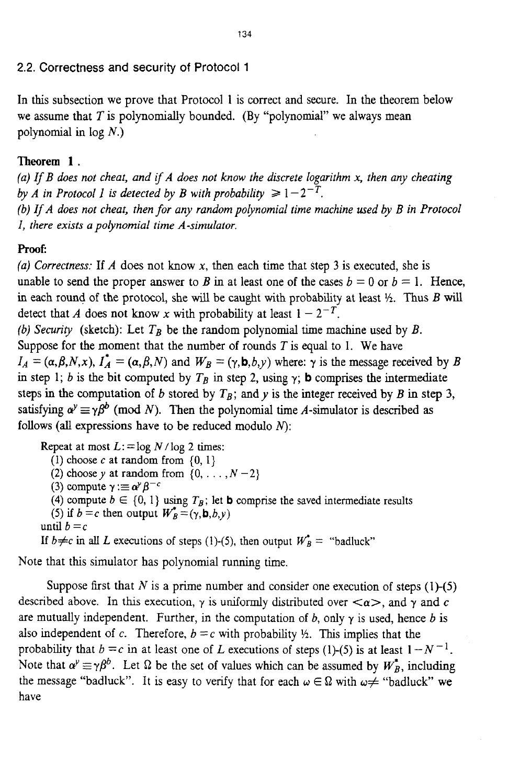## **2.2. Correctness and security** of Protocol 1

In this subsection we prove that Protocol 1 is correct and secure. In the theorem below we assume that *T* is polynomially bounded. (By "polynomial" we always mean polynomial in log *N.)* 

# **Theorem 1.**

*(a) If B does not cheat, and if A does not know the discrete logarithm* **x,** *then any cheating by A in Protocol 1 is detected by B with probability*  $\geq 1-2^{-T}$ .

*(b) IfA does not cheat, then for any random polynomial time machine used by B in Protocol I, there exists a polynomial time A-simulator,* 

## proof:

*(a) Correctness:* If A does not know **x,** then each time that step 3 is executed, she is unable to send the proper answer to *B* in at least one of the cases  $b = 0$  or  $b = 1$ . Hence, in each round of the protocol, she will be caught with probability at least  $\frac{1}{2}$ . Thus *B* will detect that A does not know x with probability at least  $1 - 2^{-T}$ .

*(b) Security* (sketch): Let  $T_B$  be the random polynomial time machine used by *B*. Suppose for the moment that the number of rounds *T* is equal to 1. We have  $I_A = (\alpha, \beta, N, x)$ ,  $I_A^* = (\alpha, \beta, N)$  and  $W_B = (\gamma, \mathbf{b}, b, \gamma)$  where:  $\gamma$  is the message received by *B* in step 1; *b* is the bit computed by  $T_B$  in step 2, using  $\gamma$ ; **b** comprises the intermediate steps in the computation of *b* stored by  $T_B$ ; and *y* is the integer received by *B* in step 3, satisfying  $\alpha^y \equiv \gamma \beta^b$  (mod *N*). Then the polynomial time *A*-simulator is described as follows (all expressions have to be reduced modulo *N):* 

Repeat at most  $L := \log N / \log 2$  times: (1) choose  $c$  at random from  $\{0, 1\}$ (2) choose y at random from  $\{0, \ldots, N-2\}$ (3) compute  $\gamma := \alpha^{\gamma} \beta^{-c}$ (4) compute  $b \in \{0, 1\}$  using  $T_B$ ; let **b** comprise the saved intermediate results (5) if  $b = c$  then output  $W_B^* = (\gamma, \mathbf{b}, b, y)$ until  $b = c$ If  $b \neq c$  in all *L* executions of steps (1)-(5), then output  $W_B^* =$  "badluck"

Note that this simulator has polynomial running time.

Suppose first that  $N$  is a prime number and consider one execution of steps  $(1)-(5)$ described above. In this execution,  $\gamma$  is uniformly distributed over  $\langle \alpha \rangle$ , and  $\gamma$  and  $c$ are mutually independent. Further, in the computation of  $b$ , only  $\gamma$  is used, hence  $b$  is also independent of c. Therefore,  $b = c$  with probability  $\frac{1}{2}$ . This implies that the probability that  $b = c$  in at least one of *L* executions of steps (1)-(5) is at least  $1 - N^{-1}$ . Note that  $\alpha^y \equiv \gamma \beta^b$ . Let  $\Omega$  be the set of values which can be assumed by  $W_B^*$ , including the message "badluck". It is easy to verify that for each  $\omega \in \Omega$  with  $\omega \neq$  "badluck" we have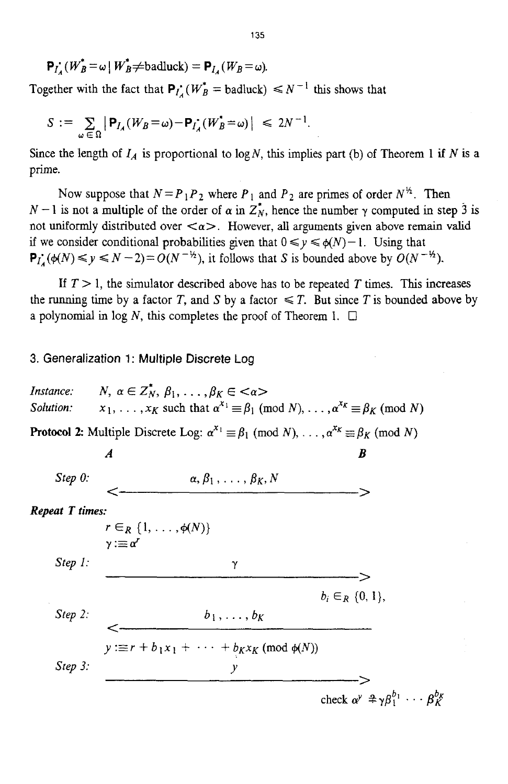$$
\mathbf{P}_{I_A}(W_B^* = \omega \mid W_B^* \neq \text{badluck}) = \mathbf{P}_{I_A}(W_B = \omega).
$$

Together with the fact that  $P_l$ :  $(W_B^* = \text{badluck}) \leq N^{-1}$  this shows that

$$
S := \sum_{\omega \in \Omega} |\mathbf{P}_{I_A}(W_B = \omega) - \mathbf{P}_{I_A}(W_B^* = \omega)| \le 2N^{-1}.
$$

Since the length of  $I_A$  is proportional to log N, this implies part (b) of Theorem 1 if N is a prime.

Now suppose that  $N = P_1 P_2$  where  $P_1$  and  $P_2$  are primes of order  $N^{\frac{1}{2}}$ . Then  $N-1$  is not a multiple of the order of  $\alpha$  in  $Z_N^*$ , hence the number  $\gamma$  computed in step 3 is not uniformly distributed over  $\langle \alpha \rangle$ . However, all arguments given above remain valid if we consider conditional probabilities given that  $0 \le y \le \phi(N) - 1$ . Using that  $P_L(\phi(N) \leq y \leq N-2) = O(N^{-\frac{1}{2}})$ , it follows that *S* is bounded above by  $O(N^{-\frac{1}{2}})$ .

If  $T > 1$ , the simulator described above has to be repeated *T* times. This increases the running time by a factor *T*, and *S* by a factor  $\leq T$ . But since *T* is bounded above by a polynomial in log *N*, this completes the proof of Theorem 1.  $\Box$ 

#### 3. Generalization **1** : Multiple Discrete Log

*N*,  $\alpha \in \mathbb{Z}_N^*$ ,  $\beta_1, \ldots, \beta_K \in \langle \alpha \rangle$ *Instance:*   $x_1, \ldots, x_K$  such that  $\alpha^{x_1} \equiv \beta_1 \pmod{N}, \ldots, \alpha^{x_K} \equiv \beta_K \pmod{N}$ *Solution:*  **Protocol 2:** Multiple Discrete Log:  $\alpha^{x_1} \equiv \beta_1 \pmod{N}, \ldots, \alpha^{x_K} \equiv \beta_K \pmod{N}$  $A$  *B*  $\alpha, \beta_1, \ldots, \beta_K, N$  $Step 0:$ **Repeat T times:**  $r \in_R \{1, \ldots, \phi(N)\}\$  $\gamma : \equiv \alpha^r$  $Step 1$ :  $\gamma$  $b_i \in_R \{0, 1\},\$  $b_1, \ldots, b_K$ *Step 2.*  $\leq$   $\frac{e_1, \ldots, e_k}{y := r + b_1 x_1 + \cdots + b_k x_k \pmod{\phi(N)}}$ Step  $3$ : check  $\alpha^y \triangleq \gamma \beta_1^{b_1} \cdots \beta_K^{b_K}$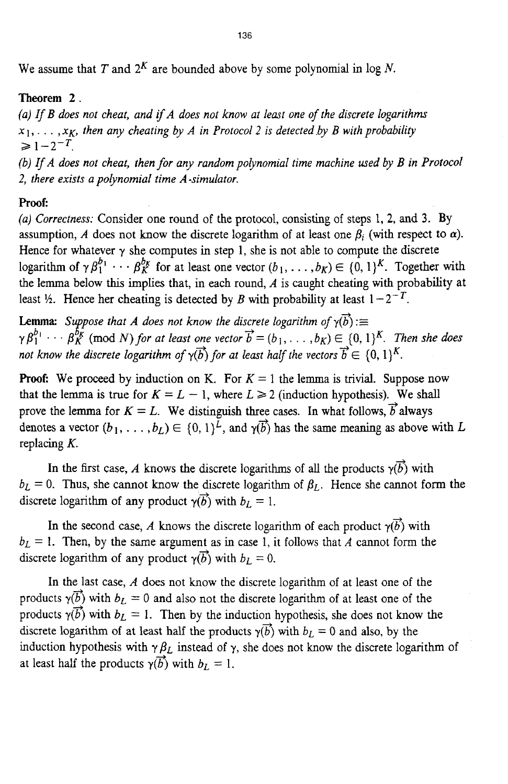We assume that *T* and  $2^K$  are bounded above by some polynomial in log *N*.

## **Theorem 2.**

*(a) rf B does not cheat, and ifA does not know at least one of the discrete logarithms*   $x_1, \ldots, x_K$ , then any cheating by A in Protocol 2 is detected by B with probability  $\geq 1 - 2^{-T}$ .

*(b)* If *A* does not cheat, then for any random polynomial time machine used by *B* in Protocol *2, there exists a polynomial time A-simulator.* 

# **Proof:**

*(a) Correctness:* Consider one round of the protocol, consisting of steps 1, **2,** and **3. By**  assumption, *A* does not know the discrete logarithm of at least one  $\beta_i$  (with respect to  $\alpha$ ). Hence for whatever  $\gamma$  she computes in step 1, she is not able to compute the discrete logarithm of  $\gamma \beta_1^{b_1} \cdots \beta_K^{b_K}$  for at least one vector  $(b_1, \ldots, b_K) \in \{0, 1\}^K$ . Together with the lemma below this **implies** that, in each round, *A* is caught cheating with probability at least  $\frac{1}{2}$ . Hence her cheating is detected by *B* with probability at least  $1 - 2^{-T}$ .

**Lemma:** Suppose that *A* does not know the discrete logarithm of  $\gamma(b) :=$ <br> $\gamma B^{b_1} + \cdots + B^{b_k}$  (mod N) for at least one yector  $\vec{b} = (b_1, \ldots, b_K) \in \{0, 1\}^d$  $\gamma \beta_1^{b_1} \cdots \beta_K^{b_K}$  (mod *N*) *for at least one vector*  $\vec{b} = (b_1, \ldots, b_K) \in \{0, 1\}^K$ . *Then she does not know the discrete logarithm of*  $\gamma(b)$  *for at least half the vectors*  $\vec{b} \in \{0, 1\}^K$ .

**Proof:** We proceed by induction on K. For  $K = 1$  the lemma is trivial. Suppose now that the lemma is true for  $K = L - 1$ , where  $L \ge 2$  (induction hypothesis). We shall prove the lemma for  $K = L$ . We distinguish three cases. In what follows,  $\vec{b}$  always denotes a vector  $(b_1, \ldots, b_L) \in \{0, 1\}^{\tilde{L}}$ , and  $\gamma(\vec{b})$  has the same meaning as above with *L* replacing *K.* 

In the first case, *A* knows the discrete logarithms of all the products  $\gamma(\vec{b})$  with  $b_L = 0$ . Thus, she cannot know the discrete logarithm of  $\beta_L$ . Hence she cannot form the discrete logarithm of any product  $\gamma(\vec{b})$  with  $b_L = 1$ .

In the second case, *A* knows the discrete logarithm of each product  $\gamma(\vec{b})$  with  $b_L = 1$ . Then, by the same argument as in case 1, it follows that *A* cannot form the discrete logarithm of any product  $\gamma(\vec{b})$  with  $b_L = 0$ .

In the last case, *A* does not know the discrete logarithm of at least one of the products  $\gamma(\vec{b})$  with  $b_L = 0$  and also not the discrete logarithm of at least one of the products  $\gamma(\vec{b})$  with  $b_L = 1$ . Then by the induction hypothesis, she does not know the discrete logarithm of at least half the products  $\gamma(\vec{b})$  with  $b_L = 0$  and also, by the induction hypothesis with  $\gamma \beta_L$  instead of  $\gamma$ , she does not know the discrete logarithm of at least half the products  $\gamma(\vec{b})$  with  $b_L = 1$ .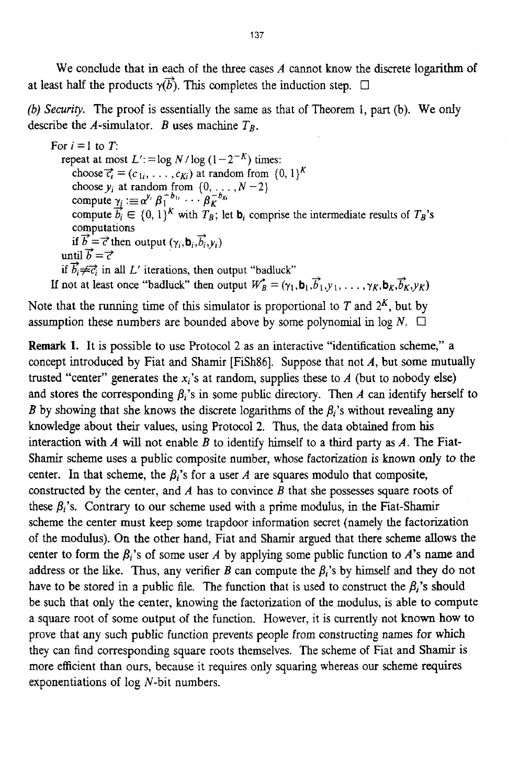We conclude that in each of the three cases *A* cannot know the discrete logarithm of at least half the products  $\gamma(\vec{b})$ . This completes the induction step.  $\Box$ 

*(b) Security.* The proof is essentially the same as that of Theorem I, part (b). We only describe the A-simulator. *B* uses machine  $T_B$ .

For  $i = 1$  to  $T$ : repeat at most  $L' := \log N / \log (1 - 2^{-K})$  times: choose  $\vec{c}_i = (c_{1i}, \ldots, c_{Ki})$  at random from  $\{0, 1\}^K$ choose  $y_i$  at random from  $\{0, \ldots, N-2\}$ compute  $\gamma_i \equiv \alpha^{y_i} \beta_1^{-b_{1i}} \cdots \beta_K^{-b_{Ki}}$ compute  $\overline{b_i} \in \{0, 1\}^K$  with  $T_B$ ; let  $\mathbf{b}_i$  comprise the intermediate results of  $T_B$ 's computations if  $\vec{b}=\vec{c}$  then output  $(\gamma_i, \mathbf{b}_i, \vec{b}_i, \gamma_i)$ until  $\vec{b} = \vec{c}$ If  $b_i \neq c_i$  in all L' iterations, then output "badluck"<br>If not at least once "badluck" then output  $W^*_{B} = (\gamma_1, \mathbf{b}_1, \vec{b}_1, y_1, \dots, \gamma_K, \mathbf{b}_K, \vec{b}_K, y_K)$ if  $\vec{b}_i \neq \vec{c}_i$  in all *L'* iterations, then output "badluck"

Note that the running time of this simulator is proportional to  $T$  and  $2<sup>K</sup>$ , but by assumption these numbers are bounded above by some polynomial in  $log N$ .  $\Box$ 

**Remark 1.** It is possible to use Protocol 2 as an interactive "identification scheme," a concept introduced by Fiat and Shamir [FiSh86]. Suppose that not A, but some mutually trusted "center" generates the  $x_i$ 's at random, supplies these to  $A$  (but to nobody else) and stores the corresponding  $\beta_i$ 's in some public directory. Then A can identify herself to *B* by showing that she knows the discrete logarithms of the  $\beta_i$ 's without revealing any knowledge about their values, using Protocol **2.** Thus, the data obtained from **his**  interaction with A will not enable *B* to identify himself to a third party **as** *A.* The Fiat-**Shamir** scheme uses **a** public composite number, whose factorization is known only to the center. In that scheme, the  $\beta_i$ 's for a user A are squares modulo that composite, constructed by the center, and A has to convince *B* that she possesses square roots of these  $\beta_i$ 's. Contrary to our scheme used with a prime modulus, in the Fiat-Shamir scheme the center must **keep** some trapdoor information secret (namely the factorization of the modulus). On the other hand, Fiat and Shamir argued that there scheme **allows** the center to form the  $\beta_i$ 's of some user A by applying some public function to A's name and address or the like. Thus, any verifier *B* can compute the  $\beta_i$ 's by himself and they do not have to be stored in a public file. The function that is used to construct the  $\beta_i$ 's should be such that only the center, knowing the factorization of the modulus, is able **to** compute a square root of some output of the function. However, it is currently not known how to prove that any such public function prevents people from constructing names for which they can find corresponding square roots themselves. The scheme of Fiat and Shamir is more efficient than ours, because it requires only squaring whereas our scheme requires exponentiations of log N-bit numbers.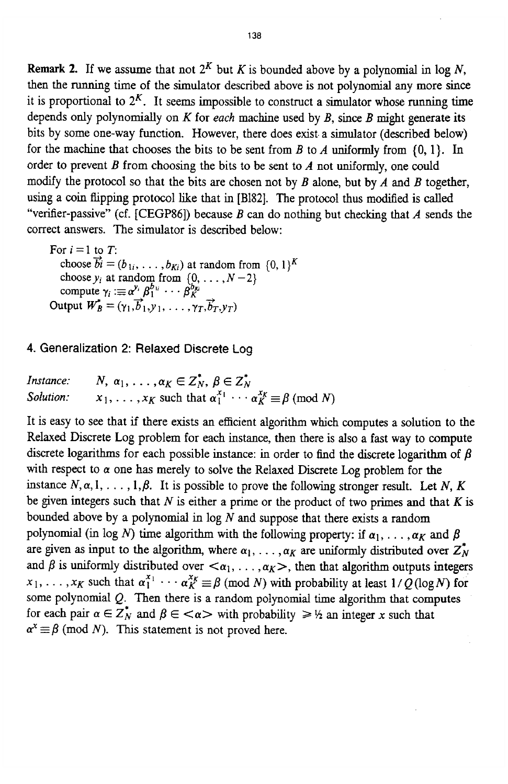**Remark 2.** If we assume that not  $2^K$  but *K* is bounded above by a polynomial in log *N*, then the running time of the simulator described above is not polynomial any more since it is proportional to  $2<sup>K</sup>$ . It seems impossible to construct a simulator whose running time depends only polynomially on *K* for *each* machine used by *B,* since *B* might generate its bits by some one-way function. However, there does exist a simulator (described below) for the machine that chooses the bits to be sent from *B* to *A* uniformly from **(0,** l}. In order to prevent *B* from choosing the bits to be sent to *A* not uniformly, one could modify the protocol so that the bits are chosen not by *B* alone, but by *A* and *B* together, using a coin flipping protocol like that in [B182]. The protocol thus modified is called "verifier-passive" (cf. [CEGP86]) because *B* can do nothing but checking that *A* sends the correct answers. The simulator is described below:

choose  $\overrightarrow{b_i} = (b_{1i}, \ldots, b_{Ki})$  at random from  $\{0, 1\}^K$ choose  $y_i$  at random from  $\{0, \ldots, N-2\}$ compute  $\gamma_i := \alpha^{y_i} \beta_1^{b_{1i}} \cdots \beta_K^{b_K}$ For  $i = 1$  to  $T$ : compute  $\gamma_i := \alpha^{y_i} \beta_1^{v_i} \cdots \beta_K^{v_K}$ <br>Output  $W_B^* = (\gamma_1, \vec{b}_1, \gamma_1, \ldots, \gamma_T, \vec{b}_T, \gamma_T)$ 

### **4. Generalization 2: Relaxed Discrete Log**

| Instance: | N, $\alpha_1, \ldots, \alpha_K \in Z_N^*$ , $\beta \in Z_N^*$                             |
|-----------|-------------------------------------------------------------------------------------------|
| Solution: | $x_1, \ldots, x_K$ such that $\alpha_1^{x_1} \cdots \alpha_K^{x_K} \equiv \beta \pmod{N}$ |

It is easy to see that if there exists an efficient algorithm which computes a solution to the Relaxed Discrete Log problem for each instance, then there is also a fast way to compute discrete logarithms for each possible instance: in order to find the discrete logarithm of  $\beta$ with respect to  $\alpha$  one has merely to solve the Relaxed Discrete Log problem for the instance  $N, \alpha, 1, \ldots, 1, \beta$ . It is possible to prove the following stronger result. Let N, K be given integers such that *N* is either a prime or the product of two primes and that *K* is bounded above by a polynomial in  $log N$  and suppose that there exists a random polynomial (in log *N*) time algorithm with the following property: if  $\alpha_1, \ldots, \alpha_K$  and  $\beta$ are given as input to the algorithm, where  $\alpha_1, \ldots, \alpha_K$  are uniformly distributed over  $Z_N^*$ and  $\beta$  is uniformly distributed over  $\langle \alpha_1, \ldots, \alpha_K \rangle$ , then that algorithm outputs integers  $x_1, \ldots, x_K$  such that  $\alpha_1^{x_1} \cdots \alpha_K^{x_K} \equiv \beta \pmod{N}$  with probability at least  $1/Q(\log N)$  for some polynomial Q. Then there is a random polynomial **time** algorithm that computes for each pair  $\alpha \in \mathbb{Z}_N^*$  and  $\beta \in \langle \alpha \rangle$  with probability  $\geq \frac{1}{2}$  an integer *x* such that  $\alpha^x \equiv \beta \pmod{N}$ . This statement is not proved here.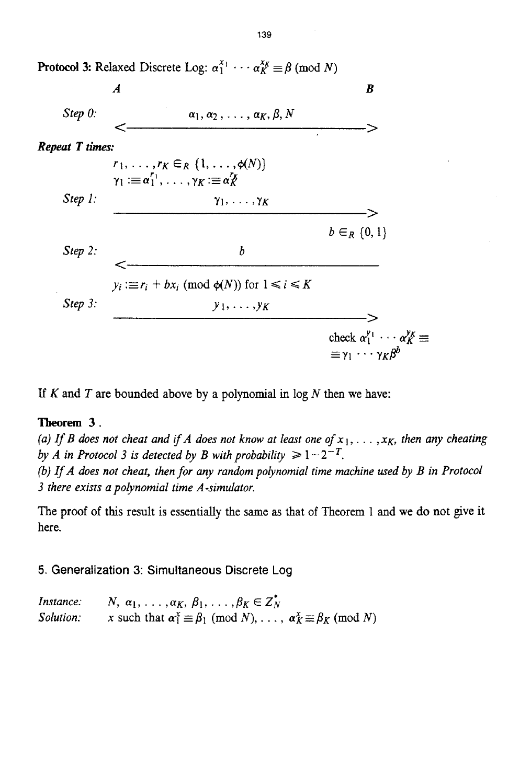

**If** *K* and *T* are bounded above by a polynomial in log *N* then we have:

# **Theorem 3.**

(a) If *B* does not cheat and if *A* does not know at least one of  $x_1, \ldots, x_K$ , then any cheating *by A in Protocol 3 is detected by B with probability*  $\geq 1-2^{-T}$ .

*(b) IfA does not cheat, then for any random polynomial time machine used by B in Protocol 3 there exists a poIynomial time A-simulator.* 

The proof of this result is essentially the same as that of Theorem 1 and we do not give **it**  here.

**5. Generalization 3: Simultaneous Discrete** Log

*Instance: Solution:*   $N, \alpha_1, \ldots, \alpha_K, \beta_1, \ldots, \beta_K \in \mathbb{Z}_N^*$ *x* such that  $\alpha_1^x \equiv \beta_1 \pmod{N}$ , ...,  $\alpha_K^x \equiv \beta_K \pmod{N}$ 

**139**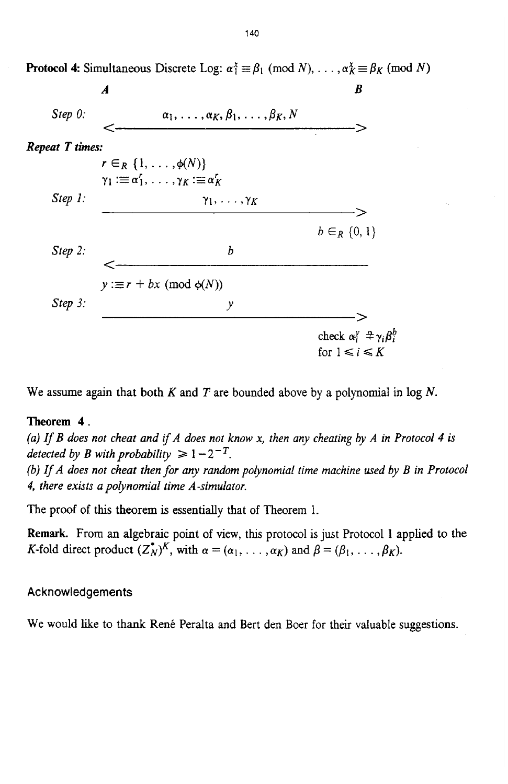

**Protocol 4:** Simultaneous Discrete Log:  $\alpha_1^x \equiv \beta_1 \pmod{N}, \ldots, \alpha_K^x \equiv \beta_K \pmod{N}$ 

We assume again that both *K* and *T* are bounded above by **a** polynomial in log *N.* 

## **Theorem 4.**

*(a) If B does not cheat and ifA does not know x, then any cheating by A in Protocol 4* **is**  *detected by B with probability*  $\geq 1 - 2^{-T}$ .

*(b) If A does not cheat then for any random polynomial time machine used by B in Protocol 4, there exists a poIynomial time A-simulator.* 

The proof **of this** theorem is essentially that of Theorem 1.

**Remark.** From an algebraic point of view, this protocol **is** just Protocol **1** applied to the K-fold direct product  $(Z_N^*)^K$ , with  $\alpha = (\alpha_1, \ldots, \alpha_K)$  and  $\beta = (\beta_1, \ldots, \beta_K)$ .

**Acknowledgements** 

We would like to thank René Peralta and Bert den Boer for their valuable suggestions.